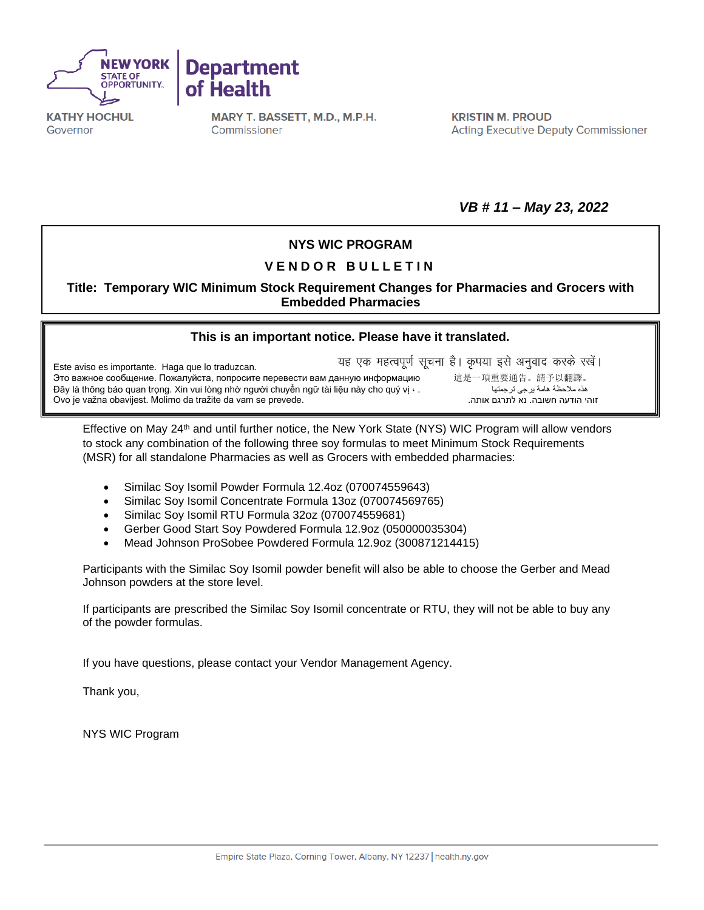



**KATHY HOCHUL** Governor

MARY T. BASSETT, M.D., M.P.H. Commissioner

**KRISTIN M. PROUD Acting Executive Deputy Commissioner** 

*VB # 11 – May 23, 2022*

## **NYS WIC PROGRAM**

## **V E N D O R B U L L E T I N**

**Title: Temporary WIC Minimum Stock Requirement Changes for Pharmacies and Grocers with Embedded Pharmacies**

## **[This is an important notice. Please have it translated.](https://nysemail-my.sharepoint.com/personal/kierian_cochran_health_ny_gov/Documents/Downloads/ExportToExcel1116675%20-%202022-05-10T080246.734.xls?web=1)**

यह एक महत्वपूर्ण सूचना है। कृपया इसे अनुवाद करके रखें। Este aviso es importante. Haga que lo traduzcan. Это важное сообщение. Пожалуйста, попросите перевести вам данную информацию 這是一項重要通告。請予以翻譯。<br>ده ملاحظة هامة يرجى ترجمتها هي المسلم عن المسلم عن المسلم عن الله عن الله عن الله عن الله عن الله عن الله عن ا Đây là thông báo quan trọng. Xin vui lòng nhờ người chuyển ngữ tài liệu này cho quý vị · . Ovo je važna obavijest. Molimo da tražite da vam se prevede..אותה לתרגם נא .חשובה הודעה זוהי

Effective on May 24<sup>th</sup> and until further notice, the New York State (NYS) WIC Program will allow vendors to stock any combination of the following three soy formulas to meet Minimum Stock Requirements (MSR) for all standalone Pharmacies as well as Grocers with embedded pharmacies:

- Similac Soy Isomil Powder Formula 12.4oz (070074559643)
- Similac Soy Isomil Concentrate Formula 13oz (070074569765)
- Similac Soy Isomil RTU Formula 32oz (070074559681)
- Gerber Good Start Soy Powdered Formula 12.9oz (050000035304)
- Mead Johnson ProSobee Powdered Formula 12.9oz (300871214415)

Participants with the Similac Soy Isomil powder benefit will also be able to choose the Gerber and Mead Johnson powders at the store level.

If participants are prescribed the Similac Soy Isomil concentrate or RTU, they will not be able to buy any of the powder formulas.

If you have questions, please contact your Vendor Management Agency.

Thank you,

NYS WIC Program